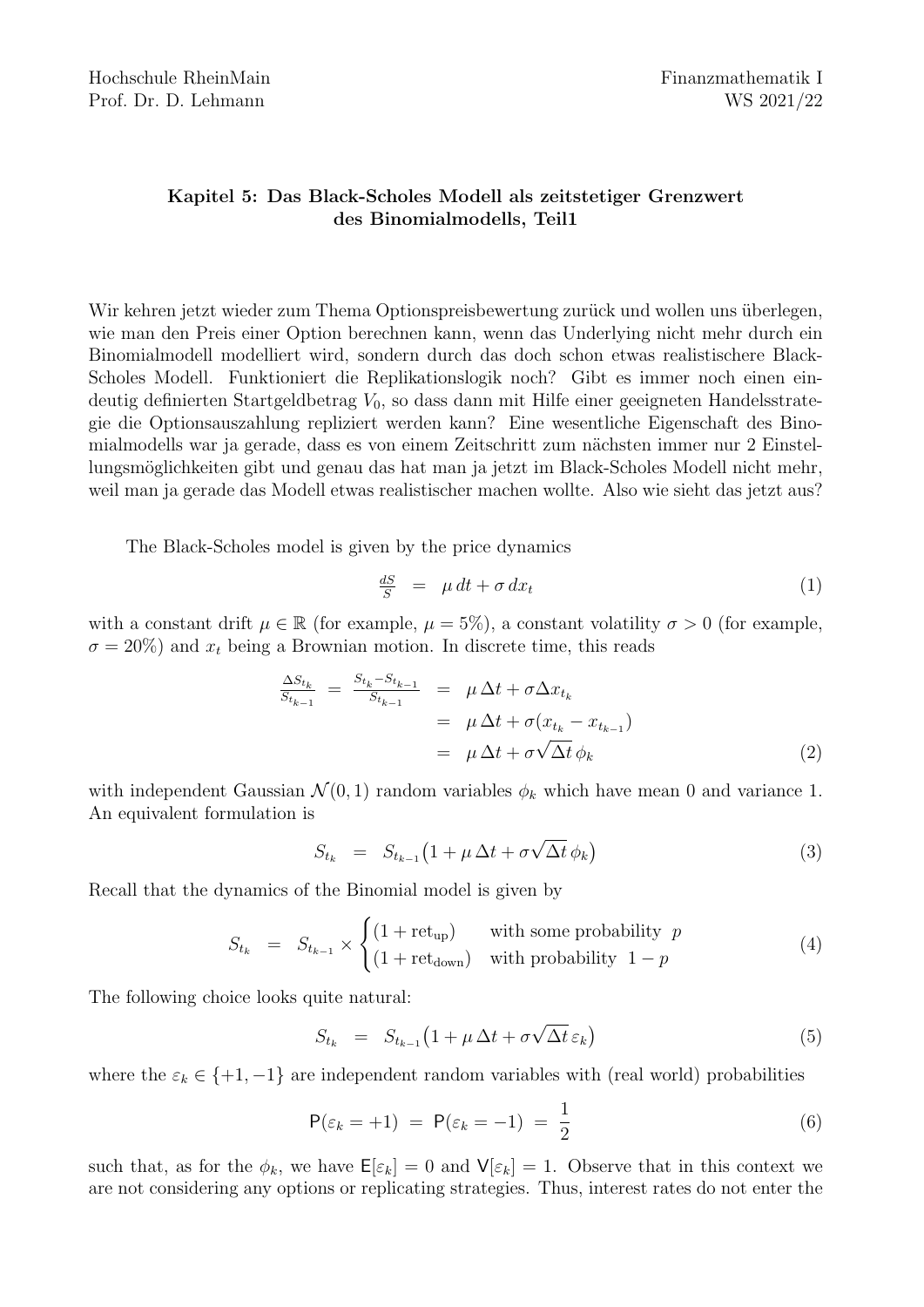## Kapitel 5: Das Black-Scholes Modell als zeitstetiger Grenzwert des Binomialmodells, Teil1

Wir kehren jetzt wieder zum Thema Optionspreisbewertung zurück und wollen uns überlegen, wie man den Preis einer Option berechnen kann, wenn das Underlying nicht mehr durch ein Binomialmodell modelliert wird, sondern durch das doch schon etwas realistischere Black-Scholes Modell. Funktioniert die Replikationslogik noch? Gibt es immer noch einen eindeutig definierten Startgeldbetrag  $V_0$ , so dass dann mit Hilfe einer geeigneten Handelsstrategie die Optionsauszahlung repliziert werden kann? Eine wesentliche Eigenschaft des Binomialmodells war ja gerade, dass es von einem Zeitschritt zum nächsten immer nur 2 Einstellungsmöglichkeiten gibt und genau das hat man ja jetzt im Black-Scholes Modell nicht mehr, weil man ja gerade das Modell etwas realistischer machen wollte. Also wie sieht das jetzt aus?

The Black-Scholes model is given by the price dynamics

$$
\frac{dS}{S} = \mu dt + \sigma dx_t \tag{1}
$$

with a constant drift  $\mu \in \mathbb{R}$  (for example,  $\mu = 5\%$ ), a constant volatility  $\sigma > 0$  (for example,  $\sigma = 20\%)$  and  $x_t$  being a Brownian motion. In discrete time, this reads

$$
\frac{\Delta S_{t_k}}{S_{t_{k-1}}} = \frac{S_{t_k} - S_{t_{k-1}}}{S_{t_{k-1}}} = \mu \Delta t + \sigma \Delta x_{t_k}
$$
  
=  $\mu \Delta t + \sigma (x_{t_k} - x_{t_{k-1}})$   
=  $\mu \Delta t + \sigma \sqrt{\Delta t} \phi_k$  (2)

with independent Gaussian  $\mathcal{N}(0, 1)$  random variables  $\phi_k$  which have mean 0 and variance 1. An equivalent formulation is

$$
S_{t_k} = S_{t_{k-1}} \left( 1 + \mu \, \Delta t + \sigma \sqrt{\Delta t} \, \phi_k \right) \tag{3}
$$

Recall that the dynamics of the Binomial model is given by

$$
S_{t_k} = S_{t_{k-1}} \times \begin{cases} (1 + \text{ret}_{\text{up}}) & \text{with some probability } p \\ (1 + \text{ret}_{\text{down}}) & \text{with probability } 1 - p \end{cases}
$$
 (4)

The following choice looks quite natural:

$$
S_{t_k} = S_{t_{k-1}} \left( 1 + \mu \, \Delta t + \sigma \sqrt{\Delta t} \, \varepsilon_k \right) \tag{5}
$$

where the  $\varepsilon_k \in \{+1, -1\}$  are independent random variables with (real world) probabilities

$$
\mathsf{P}(\varepsilon_k = +1) = \mathsf{P}(\varepsilon_k = -1) = \frac{1}{2} \tag{6}
$$

such that, as for the  $\phi_k$ , we have  $\mathsf{E}[\varepsilon_k] = 0$  and  $\mathsf{V}[\varepsilon_k] = 1$ . Observe that in this context we are not considering any options or replicating strategies. Thus, interest rates do not enter the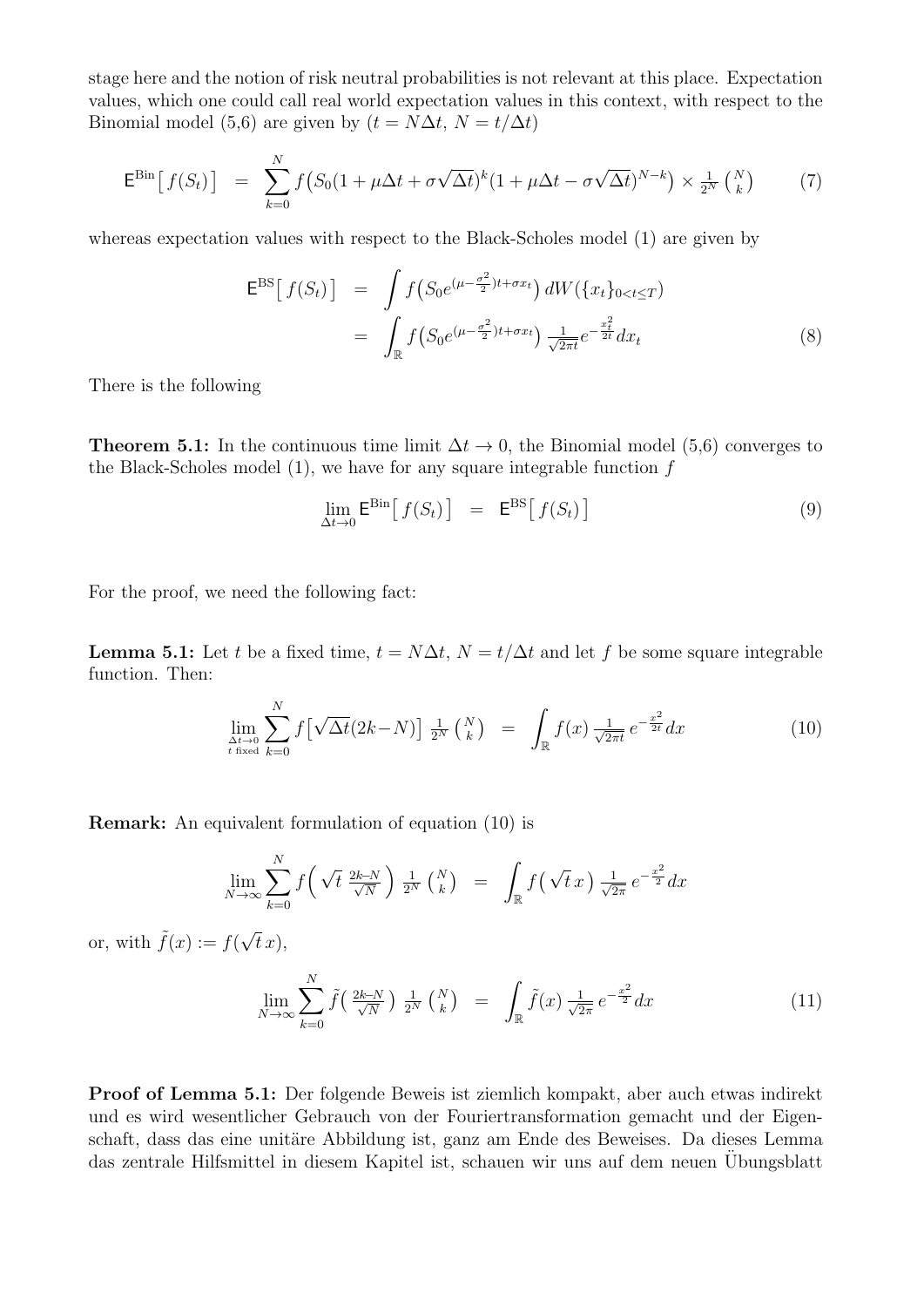stage here and the notion of risk neutral probabilities is not relevant at this place. Expectation values, which one could call real world expectation values in this context, with respect to the Binomial model (5,6) are given by  $(t = N\Delta t, N = t/\Delta t)$ 

$$
\mathsf{E}^{\mathrm{Bin}}\big[f(S_t)\big] = \sum_{k=0}^{N} f\big(S_0(1+\mu\Delta t + \sigma\sqrt{\Delta t})^k(1+\mu\Delta t - \sigma\sqrt{\Delta t})^{N-k}\big) \times \frac{1}{2^N} {N \choose k} \tag{7}
$$

whereas expectation values with respect to the Black-Scholes model (1) are given by

$$
\mathsf{E}^{\text{BS}}\left[f(S_t)\right] = \int f\left(S_0 e^{(\mu - \frac{\sigma^2}{2})t + \sigma x_t}\right) dW(\{x_t\}_{0 < t \le T})
$$
\n
$$
= \int_{\mathbb{R}} f\left(S_0 e^{(\mu - \frac{\sigma^2}{2})t + \sigma x_t}\right) \frac{1}{\sqrt{2\pi t}} e^{-\frac{x_t^2}{2t}} dx_t \tag{8}
$$

There is the following

**Theorem 5.1:** In the continuous time limit  $\Delta t \to 0$ , the Binomial model (5,6) converges to the Black-Scholes model (1), we have for any square integrable function f

$$
\lim_{\Delta t \to 0} \mathsf{E}^{\text{Bin}}\big[f(S_t)\big] = \mathsf{E}^{\text{BS}}\big[f(S_t)\big] \tag{9}
$$

For the proof, we need the following fact:

**Lemma 5.1:** Let t be a fixed time,  $t = N\Delta t$ ,  $N = t/\Delta t$  and let f be some square integrable function. Then:

$$
\lim_{\Delta t \to 0 \atop t \text{ fixed}} \sum_{k=0}^{N} f\left[\sqrt{\Delta t}(2k-N)\right] \frac{1}{2^N} {N \choose k} = \int_{\mathbb{R}} f(x) \frac{1}{\sqrt{2\pi t}} e^{-\frac{x^2}{2t}} dx \tag{10}
$$

Remark: An equivalent formulation of equation (10) is

$$
\lim_{N \to \infty} \sum_{k=0}^{N} f\left(\sqrt{t} \frac{2k-N}{\sqrt{N}}\right) \frac{1}{2^N} {N \choose k} = \int_{\mathbb{R}} f\left(\sqrt{t} x\right) \frac{1}{\sqrt{2\pi}} e^{-\frac{x^2}{2}} dx
$$

or, with  $\tilde{f}(x) := f(\sqrt{x})$  $(t x),$ 

$$
\lim_{N \to \infty} \sum_{k=0}^{N} \tilde{f}\left(\frac{2k-N}{\sqrt{N}}\right) \frac{1}{2^N} {N \choose k} = \int_{\mathbb{R}} \tilde{f}(x) \frac{1}{\sqrt{2\pi}} e^{-\frac{x^2}{2}} dx \tag{11}
$$

Proof of Lemma 5.1: Der folgende Beweis ist ziemlich kompakt, aber auch etwas indirekt und es wird wesentlicher Gebrauch von der Fouriertransformation gemacht und der Eigenschaft, dass das eine unitäre Abbildung ist, ganz am Ende des Beweises. Da dieses Lemma das zentrale Hilfsmittel in diesem Kapitel ist, schauen wir uns auf dem neuen Übungsblatt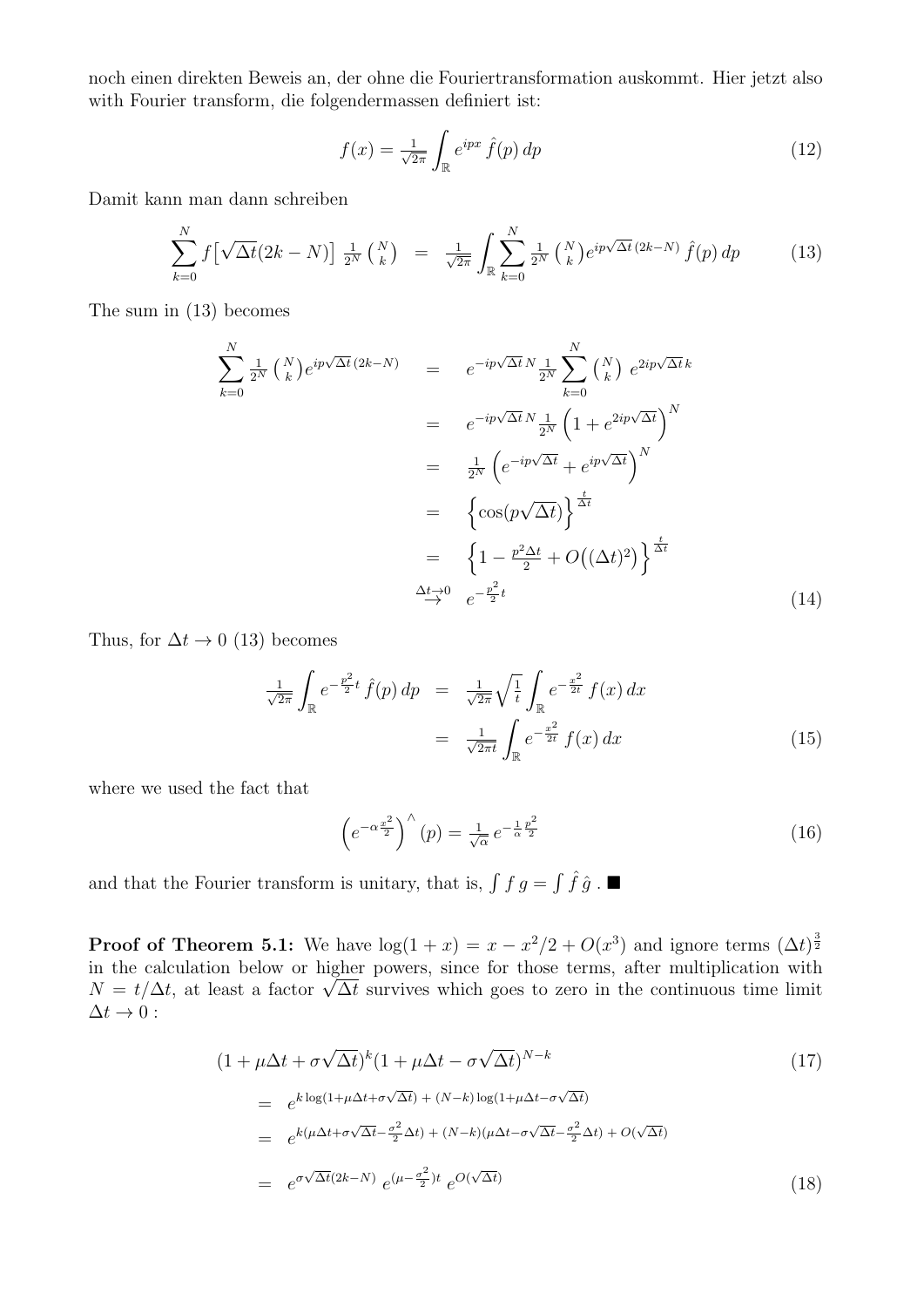noch einen direkten Beweis an, der ohne die Fouriertransformation auskommt. Hier jetzt also with Fourier transform, die folgendermassen definiert ist:

$$
f(x) = \frac{1}{\sqrt{2\pi}} \int_{\mathbb{R}} e^{ipx} \hat{f}(p) dp
$$
 (12)

Damit kann man dann schreiben

$$
\sum_{k=0}^{N} f\left[\sqrt{\Delta t}(2k-N)\right] \frac{1}{2^{N}} {N \choose k} = \frac{1}{\sqrt{2\pi}} \int_{\mathbb{R}} \sum_{k=0}^{N} \frac{1}{2^{N}} {N \choose k} e^{ip\sqrt{\Delta t}} (2k-N) \hat{f}(p) dp \qquad (13)
$$

The sum in (13) becomes

$$
\sum_{k=0}^{N} \frac{1}{2^{N}} {N \choose k} e^{ip\sqrt{\Delta t}} (2k - N) = e^{-ip\sqrt{\Delta t} N} \frac{1}{2^{N}} \sum_{k=0}^{N} {N \choose k} e^{2ip\sqrt{\Delta t} k}
$$
  
\n
$$
= e^{-ip\sqrt{\Delta t} N} \frac{1}{2^{N}} \left(1 + e^{2ip\sqrt{\Delta t}}\right)^{N}
$$
  
\n
$$
= \frac{1}{2^{N}} \left(e^{-ip\sqrt{\Delta t}} + e^{ip\sqrt{\Delta t}}\right)^{N}
$$
  
\n
$$
= \left\{\cos(p\sqrt{\Delta t})\right\}^{\frac{t}{\Delta t}}
$$
  
\n
$$
= \left\{1 - \frac{p^{2} \Delta t}{2} + O\left((\Delta t)^{2}\right)\right\}^{\frac{t}{\Delta t}}
$$
  
\n
$$
\xrightarrow{\Delta t \to 0} e^{-\frac{p^{2}}{2}t}
$$
 (14)

Thus, for  $\Delta t \rightarrow 0$  (13) becomes

$$
\frac{1}{\sqrt{2\pi}} \int_{\mathbb{R}} e^{-\frac{p^2}{2}t} \hat{f}(p) dp = \frac{1}{\sqrt{2\pi}} \sqrt{\frac{1}{t}} \int_{\mathbb{R}} e^{-\frac{x^2}{2t}} f(x) dx
$$

$$
= \frac{1}{\sqrt{2\pi t}} \int_{\mathbb{R}} e^{-\frac{x^2}{2t}} f(x) dx \tag{15}
$$

where we used the fact that

$$
\left(e^{-\alpha \frac{x^2}{2}}\right)^{\wedge}(p) = \frac{1}{\sqrt{\alpha}} e^{-\frac{1}{\alpha} \frac{p^2}{2}} \tag{16}
$$

and that the Fourier transform is unitary, that is,  $\int f g = \int \hat{f} \hat{g}$ .

**Proof of Theorem 5.1:** We have  $\log(1+x) = x - x^2/2 + O(x^3)$  and ignore terms  $(\Delta t)^{\frac{3}{2}}$ in the calculation below or higher powers, since for those terms, after multiplication with in the calculation below or higher powers, since for those terms, after multiplication with  $N = t/\Delta t$ , at least a factor  $\sqrt{\Delta t}$  survives which goes to zero in the continuous time limit  $\Delta t \rightarrow 0$ :

$$
(1 + \mu \Delta t + \sigma \sqrt{\Delta t})^{k} (1 + \mu \Delta t - \sigma \sqrt{\Delta t})^{N-k}
$$
\n
$$
= e^{k \log(1 + \mu \Delta t + \sigma \sqrt{\Delta t}) + (N - k) \log(1 + \mu \Delta t - \sigma \sqrt{\Delta t})}
$$
\n
$$
= e^{k(\mu \Delta t + \sigma \sqrt{\Delta t} - \frac{\sigma^{2}}{2} \Delta t) + (N - k)(\mu \Delta t - \sigma \sqrt{\Delta t} - \frac{\sigma^{2}}{2} \Delta t) + O(\sqrt{\Delta t})}
$$
\n
$$
= e^{\sigma \sqrt{\Delta t}(2k - N)} e^{(\mu - \frac{\sigma^{2}}{2})t} e^{O(\sqrt{\Delta t})}
$$
\n(18)